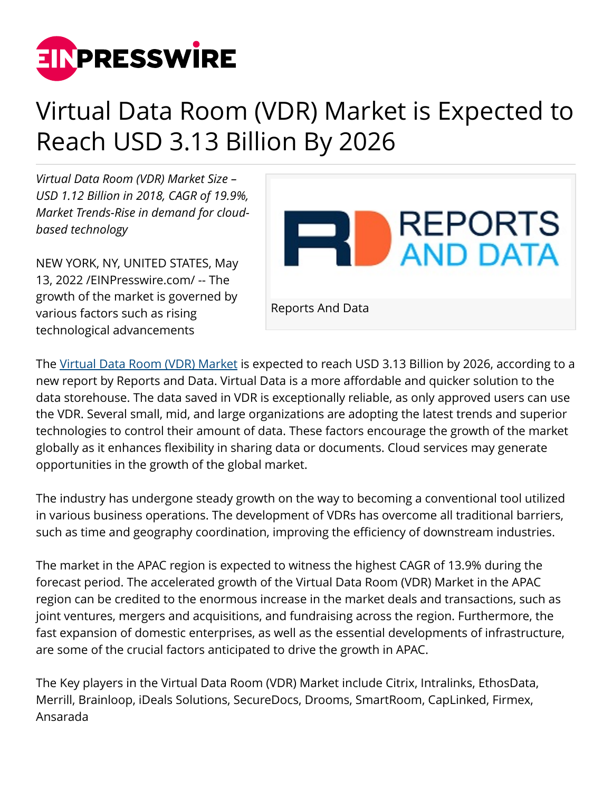

## Virtual Data Room (VDR) Market is Expected to Reach USD 3.13 Billion By 2026

*Virtual Data Room (VDR) Market Size – USD 1.12 Billion in 2018, CAGR of 19.9%, Market Trends-Rise in demand for cloudbased technology*

NEW YORK, NY, UNITED STATES, May 13, 2022 /[EINPresswire.com/](http://www.einpresswire.com) -- The growth of the market is governed by various factors such as rising technological advancements



The [Virtual Data Room \(VDR\) Market](https://www.reportsanddata.com/report-detail/virtual-data-room-vdr-market) is expected to reach USD 3.13 Billion by 2026, according to a new report by Reports and Data. Virtual Data is a more affordable and quicker solution to the data storehouse. The data saved in VDR is exceptionally reliable, as only approved users can use the VDR. Several small, mid, and large organizations are adopting the latest trends and superior technologies to control their amount of data. These factors encourage the growth of the market globally as it enhances flexibility in sharing data or documents. Cloud services may generate opportunities in the growth of the global market.

The industry has undergone steady growth on the way to becoming a conventional tool utilized in various business operations. The development of VDRs has overcome all traditional barriers, such as time and geography coordination, improving the efficiency of downstream industries.

The market in the APAC region is expected to witness the highest CAGR of 13.9% during the forecast period. The accelerated growth of the Virtual Data Room (VDR) Market in the APAC region can be credited to the enormous increase in the market deals and transactions, such as joint ventures, mergers and acquisitions, and fundraising across the region. Furthermore, the fast expansion of domestic enterprises, as well as the essential developments of infrastructure, are some of the crucial factors anticipated to drive the growth in APAC.

The Key players in the Virtual Data Room (VDR) Market include Citrix, Intralinks, EthosData, Merrill, Brainloop, iDeals Solutions, SecureDocs, Drooms, SmartRoom, CapLinked, Firmex, Ansarada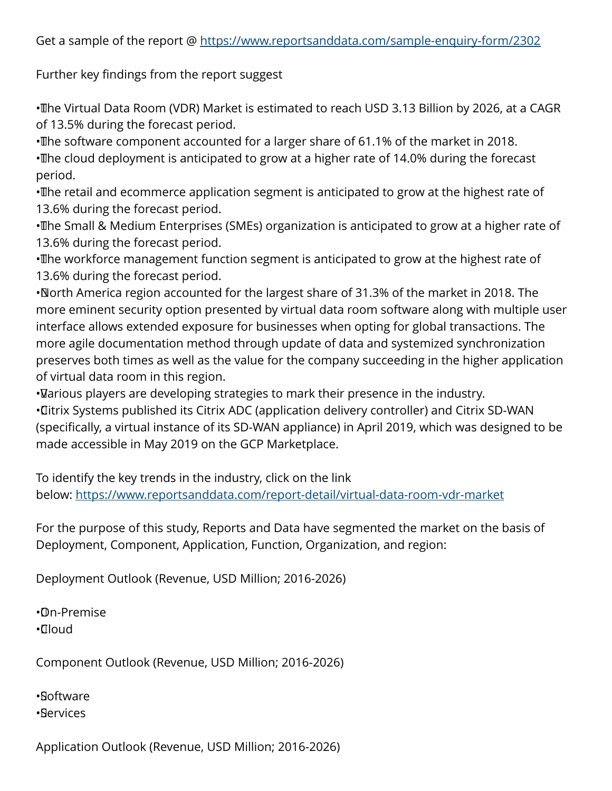Further key findings from the report suggest

• The Virtual Data Room (VDR) Market is estimated to reach USD 3.13 Billion by 2026, at a CAGR of 13.5% during the forecast period.

• The software component accounted for a larger share of 61.1% of the market in 2018.

• The cloud deployment is anticipated to grow at a higher rate of 14.0% during the forecast period.

• The retail and ecommerce application segment is anticipated to grow at the highest rate of 13.6% during the forecast period.

• The Small & Medium Enterprises (SMEs) organization is anticipated to grow at a higher rate of 13.6% during the forecast period.

• The workforce management function segment is anticipated to grow at the highest rate of 13.6% during the forecast period.

• North America region accounted for the largest share of 31.3% of the market in 2018. The more eminent security option presented by virtual data room software along with multiple user interface allows extended exposure for businesses when opting for global transactions. The more agile documentation method through update of data and systemized synchronization preserves both times as well as the value for the company succeeding in the higher application of virtual data room in this region.

• Various players are developing strategies to mark their presence in the industry. • Citrix Systems published its Citrix ADC (application delivery controller) and Citrix SD-WAN (specifically, a virtual instance of its SD-WAN appliance) in April 2019, which was designed to be made accessible in May 2019 on the GCP Marketplace.

To identify the key trends in the industry, click on the link below: <https://www.reportsanddata.com/report-detail/virtual-data-room-vdr-market>

For the purpose of this study, Reports and Data have segmented the market on the basis of Deployment, Component, Application, Function, Organization, and region:

Deployment Outlook (Revenue, USD Million; 2016-2026)

• On-Premise • Cloud

Component Outlook (Revenue, USD Million; 2016-2026)

• Software

• Services

Application Outlook (Revenue, USD Million; 2016-2026)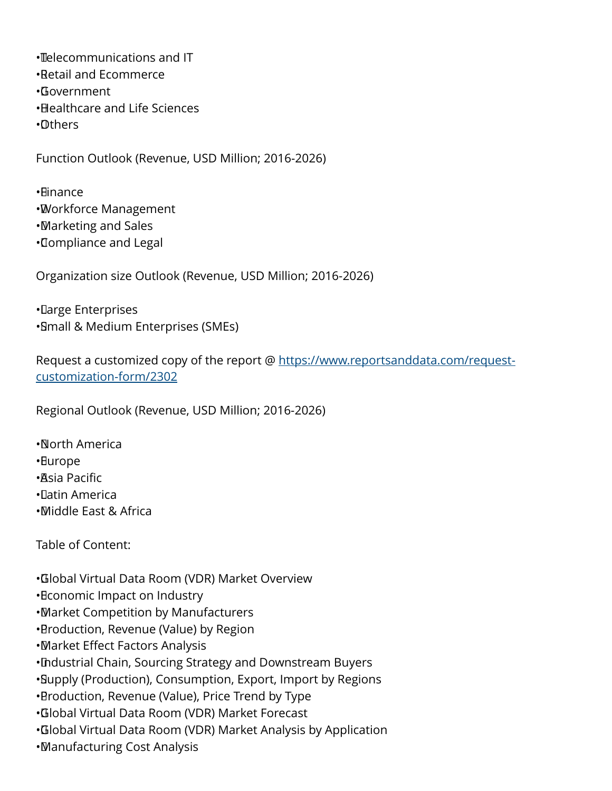• Telecommunications and IT

- • Retail and Ecommerce
- • Government
- • Healthcare and Life Sciences
- • Others

Function Outlook (Revenue, USD Million; 2016-2026)

• Finance

- • Workforce Management
- • Marketing and Sales
- • Compliance and Legal

Organization size Outlook (Revenue, USD Million; 2016-2026)

• Large Enterprises • Small & Medium Enterprises (SMEs)

Request a customized copy of the report @ [https://www.reportsanddata.com/request](https://www.reportsanddata.com/request-customization-form/2302)[customization-form/2302](https://www.reportsanddata.com/request-customization-form/2302)

Regional Outlook (Revenue, USD Million; 2016-2026)

• North America

• Europe

- • Asia Pacific
- • Latin America
- • Middle East & Africa

Table of Content:

• Global Virtual Data Room (VDR) Market Overview

- • Economic Impact on Industry
- • Market Competition by Manufacturers
- • Production, Revenue (Value) by Region
- • Market Effect Factors Analysis
- • Industrial Chain, Sourcing Strategy and Downstream Buyers
- • Supply (Production), Consumption, Export, Import by Regions
- • Production, Revenue (Value), Price Trend by Type
- • Global Virtual Data Room (VDR) Market Forecast
- • Global Virtual Data Room (VDR) Market Analysis by Application
- • Manufacturing Cost Analysis